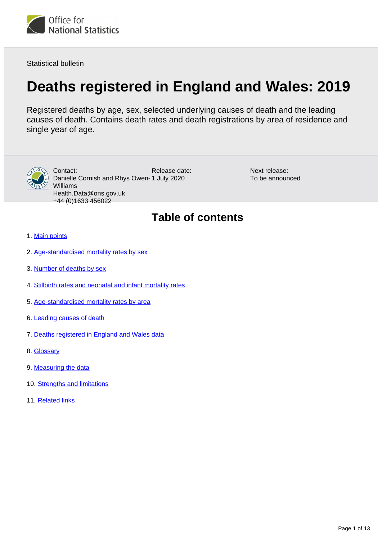<span id="page-0-0"></span>

Statistical bulletin

# **Deaths registered in England and Wales: 2019**

Registered deaths by age, sex, selected underlying causes of death and the leading causes of death. Contains death rates and death registrations by area of residence and single year of age.



Release date: Danielle Cornish and Rhys Owen-1 July 2020 Contact: Williams Health.Data@ons.gov.uk +44 (0)1633 456022

Next release: To be announced

## **Table of contents**

- 1. [Main points](#page-1-0)
- 2. [Age-standardised mortality rates by sex](#page-1-1)
- 3. [Number of deaths by sex](#page-2-0)
- 4. [Stillbirth rates and neonatal and infant mortality rates](#page-4-0)
- 5. [Age-standardised mortality rates by area](#page-5-0)
- 6. [Leading causes of death](#page-7-0)
- 7. [Deaths registered in England and Wales data](#page-9-0)
- 8. [Glossary](#page-9-1)
- 9. [Measuring the data](#page-9-2)
- 10. [Strengths and limitations](#page-11-0)
- 11. [Related links](#page-12-0)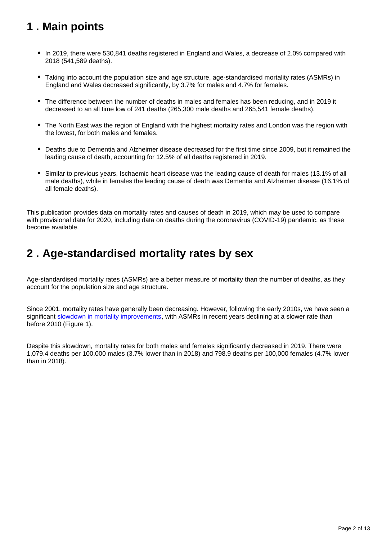## <span id="page-1-0"></span>**1 . Main points**

- In 2019, there were 530,841 deaths registered in England and Wales, a decrease of 2.0% compared with 2018 (541,589 deaths).
- Taking into account the population size and age structure, age-standardised mortality rates (ASMRs) in England and Wales decreased significantly, by 3.7% for males and 4.7% for females.
- The difference between the number of deaths in males and females has been reducing, and in 2019 it decreased to an all time low of 241 deaths (265,300 male deaths and 265,541 female deaths).
- The North East was the region of England with the highest mortality rates and London was the region with the lowest, for both males and females.
- Deaths due to Dementia and Alzheimer disease decreased for the first time since 2009, but it remained the leading cause of death, accounting for 12.5% of all deaths registered in 2019.
- Similar to previous years, Ischaemic heart disease was the leading cause of death for males (13.1% of all male deaths), while in females the leading cause of death was Dementia and Alzheimer disease (16.1% of all female deaths).

This publication provides data on mortality rates and causes of death in 2019, which may be used to compare with provisional data for 2020, including data on deaths during the coronavirus (COVID-19) pandemic, as these become available.

### <span id="page-1-1"></span>**2 . Age-standardised mortality rates by sex**

Age-standardised mortality rates (ASMRs) are a better measure of mortality than the number of deaths, as they account for the population size and age structure.

Since 2001, mortality rates have generally been decreasing. However, following the early 2010s, we have seen a significant [slowdown in mortality improvements](https://www.ons.gov.uk/peoplepopulationandcommunity/birthsdeathsandmarriages/deaths/articles/changingtrendsinmortalityinenglandandwales1990to2017/1990to2018), with ASMRs in recent years declining at a slower rate than before 2010 (Figure 1).

Despite this slowdown, mortality rates for both males and females significantly decreased in 2019. There were 1,079.4 deaths per 100,000 males (3.7% lower than in 2018) and 798.9 deaths per 100,000 females (4.7% lower than in 2018).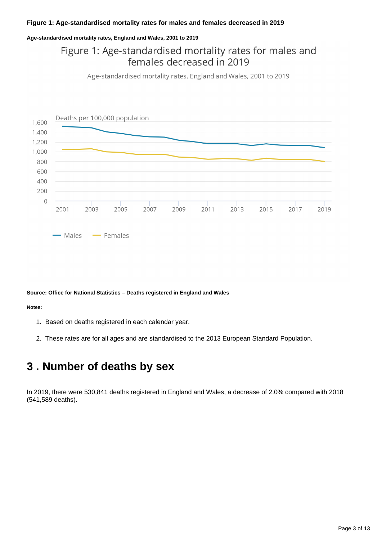### **Figure 1: Age-standardised mortality rates for males and females decreased in 2019**

### **Age-standardised mortality rates, England and Wales, 2001 to 2019**

### Figure 1: Age-standardised mortality rates for males and females decreased in 2019

Age-standardised mortality rates, England and Wales, 2001 to 2019



### **Source: Office for National Statistics – Deaths registered in England and Wales**

### **Notes:**

- 1. Based on deaths registered in each calendar year.
- 2. These rates are for all ages and are standardised to the 2013 European Standard Population.

### <span id="page-2-0"></span>**3 . Number of deaths by sex**

In 2019, there were 530,841 deaths registered in England and Wales, a decrease of 2.0% compared with 2018 (541,589 deaths).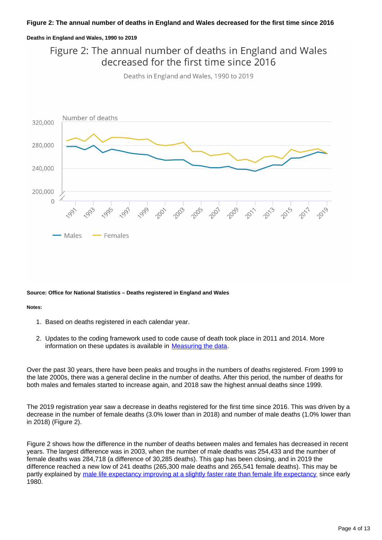### **Figure 2: The annual number of deaths in England and Wales decreased for the first time since 2016**

### **Deaths in England and Wales, 1990 to 2019**

Figure 2: The annual number of deaths in England and Wales decreased for the first time since 2016





#### **Source: Office for National Statistics – Deaths registered in England and Wales**

#### **Notes:**

- 1. Based on deaths registered in each calendar year.
- 2. Updates to the coding framework used to code cause of death took place in 2011 and 2014. More information on these updates is available in [Measuring the data](https://publishing.ons.gov.uk/peoplepopulationandcommunity/birthsdeathsandmarriages/deaths/bulletins/deathsregistrationsummarytables/2019#measuring-the-data).

Over the past 30 years, there have been peaks and troughs in the numbers of deaths registered. From 1999 to the late 2000s, there was a general decline in the number of deaths. After this period, the number of deaths for both males and females started to increase again, and 2018 saw the highest annual deaths since 1999.

The 2019 registration year saw a decrease in deaths registered for the first time since 2016. This was driven by a decrease in the number of female deaths (3.0% lower than in 2018) and number of male deaths (1.0% lower than in 2018) (Figure 2).

Figure 2 shows how the difference in the number of deaths between males and females has decreased in recent years. The largest difference was in 2003, when the number of male deaths was 254,433 and the number of female deaths was 284,718 (a difference of 30,285 deaths). This gap has been closing, and in 2019 the difference reached a new low of 241 deaths (265,300 male deaths and 265,541 female deaths). This may be partly explained by [male life expectancy improving at a slightly faster rate than female life expectancy](https://www.ons.gov.uk/peoplepopulationandcommunity/birthsdeathsandmarriages/lifeexpectancies/bulletins/nationallifetablesunitedkingdom/2016to2018) since early 1980.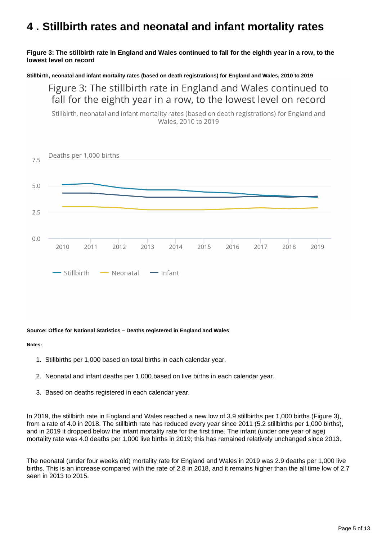## <span id="page-4-0"></span>**4 . Stillbirth rates and neonatal and infant mortality rates**

### **Figure 3: The stillbirth rate in England and Wales continued to fall for the eighth year in a row, to the lowest level on record**

**Stillbirth, neonatal and infant mortality rates (based on death registrations) for England and Wales, 2010 to 2019**

Figure 3: The stillbirth rate in England and Wales continued to fall for the eighth year in a row, to the lowest level on record

Stillbirth, neonatal and infant mortality rates (based on death registrations) for England and Wales, 2010 to 2019



### **Source: Office for National Statistics – Deaths registered in England and Wales**

#### **Notes:**

- 1. Stillbirths per 1,000 based on total births in each calendar year.
- 2. Neonatal and infant deaths per 1,000 based on live births in each calendar year.
- 3. Based on deaths registered in each calendar year.

In 2019, the stillbirth rate in England and Wales reached a new low of 3.9 stillbirths per 1,000 births (Figure 3), from a rate of 4.0 in 2018. The stillbirth rate has reduced every year since 2011 (5.2 stillbirths per 1,000 births), and in 2019 it dropped below the infant mortality rate for the first time. The infant (under one year of age) mortality rate was 4.0 deaths per 1,000 live births in 2019; this has remained relatively unchanged since 2013.

The neonatal (under four weeks old) mortality rate for England and Wales in 2019 was 2.9 deaths per 1,000 live births. This is an increase compared with the rate of 2.8 in 2018, and it remains higher than the all time low of 2.7 seen in 2013 to 2015.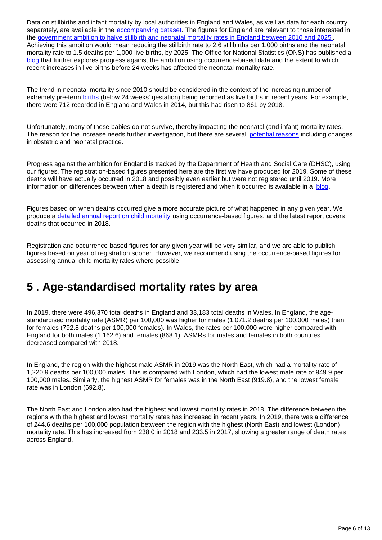Data on stillbirths and infant mortality by local authorities in England and Wales, as well as data for each country separately, are available in the [accompanying dataset](https://www.ons.gov.uk/peoplepopulationandcommunity/birthsdeathsandmarriages/deaths/datasets/deathsregisteredinenglandandwalesseriesdrreferencetables). The figures for England are relevant to those interested in the [government ambition to halve stillbirth and neonatal mortality rates in England between 2010 and 2025](https://www.gov.uk/government/publications/safer-maternity-care-progress-and-next-steps) . Achieving this ambition would mean reducing the stillbirth rate to 2.6 stillbirths per 1,000 births and the neonatal mortality rate to 1.5 deaths per 1,000 live births, by 2025. The Office for National Statistics (ONS) has published a [blog](https://blog.ons.gov.uk/2020/02/20/explaining-trends-in-baby-loss-in-england-and-wales/) that further explores progress against the ambition using occurrence-based data and the extent to which recent increases in live births before 24 weeks has affected the neonatal mortality rate.

The trend in neonatal mortality since 2010 should be considered in the context of the increasing number of extremely pre-term [births](https://www.ons.gov.uk/peoplepopulationandcommunity/birthsdeathsandmarriages/livebirths/datasets/birthcharacteristicsinenglandandwales) (below 24 weeks' gestation) being recorded as live births in recent years. For example, there were 712 recorded in England and Wales in 2014, but this had risen to 861 by 2018.

Unfortunately, many of these babies do not survive, thereby impacting the neonatal (and infant) mortality rates. The reason for the increase needs further investigation, but there are several [potential reasons](https://www.bmj.com/content/360/bmj.k1270/rr) including changes in obstetric and neonatal practice.

Progress against the ambition for England is tracked by the Department of Health and Social Care (DHSC), using our figures. The registration-based figures presented here are the first we have produced for 2019. Some of these deaths will have actually occurred in 2018 and possibly even earlier but were not registered until 2019. More information on differences between when a death is registered and when it occurred is available in a [blog](https://blog.ons.gov.uk/2019/03/07/beware-the-ides-of-march-ons-data-reveals-which-month-we-are-really-most-likely-to-die-in/).

Figures based on when deaths occurred give a more accurate picture of what happened in any given year. We produce a [detailed annual report on child mortality](https://www.ons.gov.uk/peoplepopulationandcommunity/birthsdeathsandmarriages/deaths/bulletins/childhoodinfantandperinatalmortalityinenglandandwales/2018) using occurrence-based figures, and the latest report covers deaths that occurred in 2018.

Registration and occurrence-based figures for any given year will be very similar, and we are able to publish figures based on year of registration sooner. However, we recommend using the occurrence-based figures for assessing annual child mortality rates where possible.

### <span id="page-5-0"></span>**5 . Age-standardised mortality rates by area**

In 2019, there were 496,370 total deaths in England and 33,183 total deaths in Wales. In England, the agestandardised mortality rate (ASMR) per 100,000 was higher for males (1,071.2 deaths per 100,000 males) than for females (792.8 deaths per 100,000 females). In Wales, the rates per 100,000 were higher compared with England for both males (1,162.6) and females (868.1). ASMRs for males and females in both countries decreased compared with 2018.

In England, the region with the highest male ASMR in 2019 was the North East, which had a mortality rate of 1,220.9 deaths per 100,000 males. This is compared with London, which had the lowest male rate of 949.9 per 100,000 males. Similarly, the highest ASMR for females was in the North East (919.8), and the lowest female rate was in London (692.8).

The North East and London also had the highest and lowest mortality rates in 2018. The difference between the regions with the highest and lowest mortality rates has increased in recent years. In 2019, there was a difference of 244.6 deaths per 100,000 population between the region with the highest (North East) and lowest (London) mortality rate. This has increased from 238.0 in 2018 and 233.5 in 2017, showing a greater range of death rates across England.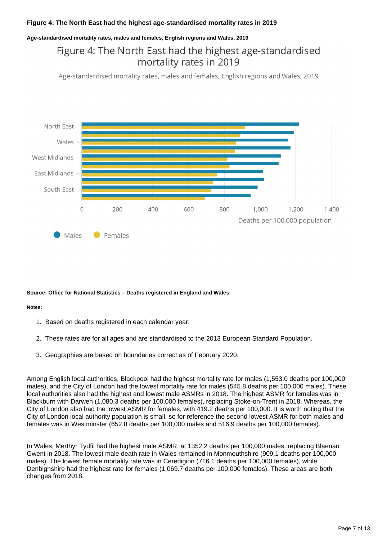### **Figure 4: The North East had the highest age-standardised mortality rates in 2019**

#### **Age-standardised mortality rates, males and females, English regions and Wales, 2019**

### Figure 4: The North East had the highest age-standardised mortality rates in 2019

Age-standardised mortality rates, males and females, English regions and Wales, 2019



#### **Source: Office for National Statistics – Deaths registered in England and Wales**

#### **Notes:**

- 1. Based on deaths registered in each calendar year.
- 2. These rates are for all ages and are standardised to the 2013 European Standard Population.
- 3. Geographies are based on boundaries correct as of February 2020.

Among English local authorities, Blackpool had the highest mortality rate for males (1,553.0 deaths per 100,000 males), and the City of London had the lowest mortality rate for males (545.8 deaths per 100,000 males). These local authorities also had the highest and lowest male ASMRs in 2018. The highest ASMR for females was in Blackburn with Darwen (1,080.3 deaths per 100,000 females), replacing Stoke-on-Trent in 2018. Whereas, the City of London also had the lowest ASMR for females, with 419.2 deaths per 100,000. It is worth noting that the City of London local authority population is small, so for reference the second lowest ASMR for both males and females was in Westminster (652.8 deaths per 100,000 males and 516.9 deaths per 100,000 females).

In Wales, Merthyr Tydfil had the highest male ASMR, at 1352.2 deaths per 100,000 males, replacing Blaenau Gwent in 2018. The lowest male death rate in Wales remained in Monmouthshire (909.1 deaths per 100,000 males). The lowest female mortality rate was in Ceredigion (716.1 deaths per 100,000 females), while Denbighshire had the highest rate for females (1,069.7 deaths per 100,000 females). These areas are both changes from 2018.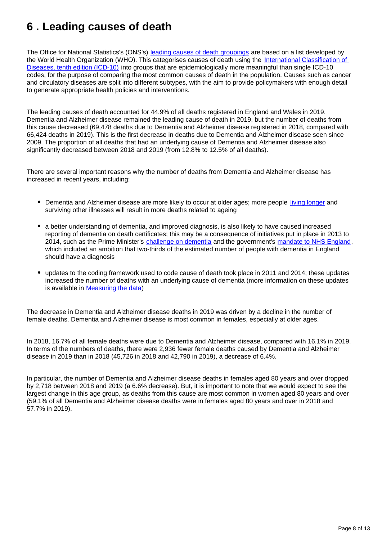## <span id="page-7-0"></span>**6 . Leading causes of death**

The Office for National Statistics's (ONS's) [leading causes of death groupings](https://www.ons.gov.uk/peoplepopulationandcommunity/birthsdeathsandmarriages/deaths/methodologies/userguidetomortalitystatistics/leadingcausesofdeathinenglandandwalesrevised2016) are based on a list developed by the World Health Organization (WHO). This categorises causes of death using the International Classification of [Diseases, tenth edition \(ICD-10\)](https://icd.who.int/browse10/2014/en) into groups that are epidemiologically more meaningful than single ICD-10 codes, for the purpose of comparing the most common causes of death in the population. Causes such as cancer and circulatory diseases are split into different subtypes, with the aim to provide policymakers with enough detail to generate appropriate health policies and interventions.

The leading causes of death accounted for 44.9% of all deaths registered in England and Wales in 2019. Dementia and Alzheimer disease remained the leading cause of death in 2019, but the number of deaths from this cause decreased (69,478 deaths due to Dementia and Alzheimer disease registered in 2018, compared with 66,424 deaths in 2019). This is the first decrease in deaths due to Dementia and Alzheimer disease seen since 2009. The proportion of all deaths that had an underlying cause of Dementia and Alzheimer disease also significantly decreased between 2018 and 2019 (from 12.8% to 12.5% of all deaths).

There are several important reasons why the number of deaths from Dementia and Alzheimer disease has increased in recent years, including:

- Dementia and Alzheimer disease are more likely to occur at older ages; more people [living longer](https://www.ons.gov.uk/peoplepopulationandcommunity/birthsdeathsandmarriages/ageing/articles/livinglongerhowourpopulationischangingandwhyitmatters/2018-08-13) and surviving other illnesses will result in more deaths related to ageing
- a better understanding of dementia, and improved diagnosis, is also likely to have caused increased reporting of dementia on death certificates; this may be a consequence of initiatives put in place in 2013 to 2014, such as the Prime Minister's [challenge on dementia](https://www.gov.uk/government/publications/prime-ministers-challenge-on-dementia-2020) and the government's [mandate to NHS England](https://assets.publishing.service.gov.uk/government/uploads/system/uploads/attachment_data/file/601188/NHS_Mandate_2017-18_A.pdf), which included an ambition that two-thirds of the estimated number of people with dementia in England should have a diagnosis
- updates to the coding framework used to code cause of death took place in 2011 and 2014; these updates increased the number of deaths with an underlying cause of dementia (more information on these updates is available in [Measuring the data\)](https://publishing.ons.gov.uk/peoplepopulationandcommunity/birthsdeathsandmarriages/deaths/bulletins/deathsregistrationsummarytables/2019#measuring-the-data)

The decrease in Dementia and Alzheimer disease deaths in 2019 was driven by a decline in the number of female deaths. Dementia and Alzheimer disease is most common in females, especially at older ages.

In 2018, 16.7% of all female deaths were due to Dementia and Alzheimer disease, compared with 16.1% in 2019. In terms of the numbers of deaths, there were 2,936 fewer female deaths caused by Dementia and Alzheimer disease in 2019 than in 2018 (45,726 in 2018 and 42,790 in 2019), a decrease of 6.4%.

In particular, the number of Dementia and Alzheimer disease deaths in females aged 80 years and over dropped by 2,718 between 2018 and 2019 (a 6.6% decrease). But, it is important to note that we would expect to see the largest change in this age group, as deaths from this cause are most common in women aged 80 years and over (59.1% of all Dementia and Alzheimer disease deaths were in females aged 80 years and over in 2018 and 57.7% in 2019).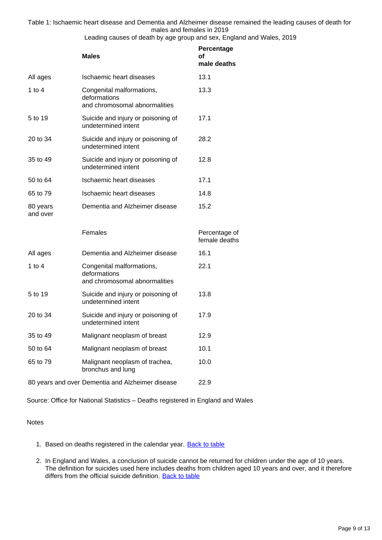Table 1: Ischaemic heart disease and Dementia and Alzheimer disease remained the leading causes of death for males and females in 2019

Leading causes of death by age group and sex, England and Wales, 2019

|                      | <b>Males</b>                                                               | Percentage<br>οf<br>male deaths |
|----------------------|----------------------------------------------------------------------------|---------------------------------|
| All ages             | Ischaemic heart diseases                                                   | 13.1                            |
| 1 to $4$             | Congenital malformations,<br>deformations<br>and chromosomal abnormalities | 13.3                            |
| 5 to 19              | Suicide and injury or poisoning of<br>undetermined intent                  | 17.1                            |
| 20 to 34             | Suicide and injury or poisoning of<br>undetermined intent                  | 28.2                            |
| 35 to 49             | Suicide and injury or poisoning of<br>undetermined intent                  | 12.8                            |
| 50 to 64             | Ischaemic heart diseases                                                   | 17.1                            |
| 65 to 79             | Ischaemic heart diseases                                                   | 14.8                            |
| 80 years<br>and over | Dementia and Alzheimer disease                                             | 15.2                            |
|                      | Females                                                                    | Percentage of<br>female deaths  |
| All ages             | Dementia and Alzheimer disease                                             | 16.1                            |
| 1 to $4$             | Congenital malformations,<br>deformations<br>and chromosomal abnormalities | 22.1                            |
| 5 to 19              | Suicide and injury or poisoning of<br>undetermined intent                  | 13.8                            |
| 20 to 34             | Suicide and injury or poisoning of<br>undetermined intent                  | 17.9                            |
| 35 to 49             | Malignant neoplasm of breast                                               | 12.9                            |
| 50 to 64             | Malignant neoplasm of breast                                               | 10.1                            |
| 65 to 79             | Malignant neoplasm of trachea,<br>bronchus and lung                        | 10.0                            |
|                      | 80 years and over Dementia and Alzheimer disease                           | 22.9                            |

Source: Office for National Statistics – Deaths registered in England and Wales

### Notes

- 1. Based on deaths registered in the calendar year. **[Back to table](#page-0-0)**
- 2. In England and Wales, a conclusion of suicide cannot be returned for children under the age of 10 years. The definition for suicides used here includes deaths from children aged 10 years and over, and it therefore differs from the official suicide definition. [Back to table](#page-0-0)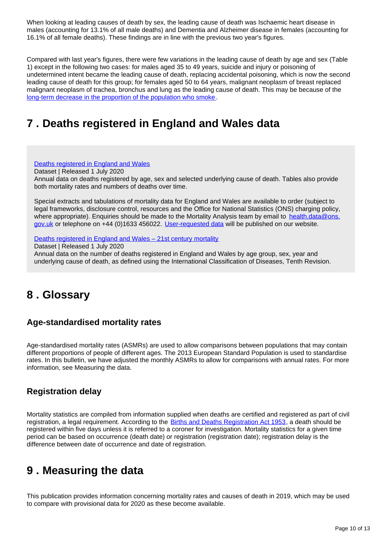When looking at leading causes of death by sex, the leading cause of death was Ischaemic heart disease in males (accounting for 13.1% of all male deaths) and Dementia and Alzheimer disease in females (accounting for 16.1% of all female deaths). These findings are in line with the previous two year's figures.

Compared with last year's figures, there were few variations in the leading cause of death by age and sex (Table 1) except in the following two cases: for males aged 35 to 49 years, suicide and injury or poisoning of undetermined intent became the leading cause of death, replacing accidental poisoning, which is now the second leading cause of death for this group; for females aged 50 to 64 years, malignant neoplasm of breast replaced malignant neoplasm of trachea, bronchus and lung as the leading cause of death. This may be because of the [long-term decrease in the proportion of the population who smoke.](https://www.ons.gov.uk/peoplepopulationandcommunity/healthandsocialcare/healthandlifeexpectancies/bulletins/adultsmokinghabitsingreatbritain/2018#the-proportion-who-are-current-smokers-in-the-uk-its-constituent-countries-and-local-areas-2011-to-2018)

## <span id="page-9-0"></span>**7 . Deaths registered in England and Wales data**

[Deaths registered in England and Wales](https://www.ons.gov.uk/peoplepopulationandcommunity/birthsdeathsandmarriages/deaths/datasets/weeklyprovisionalfiguresondeathsregisteredinenglandandwales)

Dataset | Released 1 July 2020 Annual data on deaths registered by age, sex and selected underlying cause of death. Tables also provide both mortality rates and numbers of deaths over time.

Special extracts and tabulations of mortality data for England and Wales are available to order (subject to legal frameworks, disclosure control, resources and the Office for National Statistics (ONS) charging policy, where appropriate). Enquiries should be made to the Mortality Analysis team by email to health.data@ons. gov.uk or telephone on +44 (0)1633 456022. [User-requested data](https://www.ons.gov.uk/peoplepopulationandcommunity/birthsdeathsandmarriages/deaths/datalist) will be published on our website.

Deaths registered in England and Wales - 21st century mortality

Dataset | Released 1 July 2020

Annual data on the number of deaths registered in England and Wales by age group, sex, year and underlying cause of death, as defined using the International Classification of Diseases, Tenth Revision.

## <span id="page-9-1"></span>**8 . Glossary**

### **Age-standardised mortality rates**

Age-standardised mortality rates (ASMRs) are used to allow comparisons between populations that may contain different proportions of people of different ages. The 2013 European Standard Population is used to standardise rates. In this bulletin, we have adjusted the monthly ASMRs to allow for comparisons with annual rates. For more information, see Measuring the data.

### **Registration delay**

Mortality statistics are compiled from information supplied when deaths are certified and registered as part of civil registration, a legal requirement. According to the **Births and Deaths Registration Act 1953**, a death should be registered within five days unless it is referred to a coroner for investigation. Mortality statistics for a given time period can be based on occurrence (death date) or registration (registration date); registration delay is the difference between date of occurrence and date of registration.

## <span id="page-9-2"></span>**9 . Measuring the data**

This publication provides information concerning mortality rates and causes of death in 2019, which may be used to compare with provisional data for 2020 as these become available.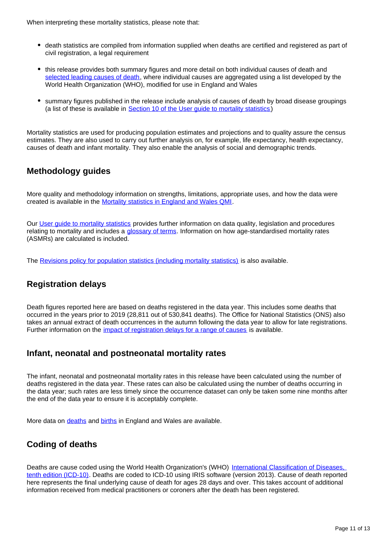- death statistics are compiled from information supplied when deaths are certified and registered as part of civil registration, a legal requirement
- this release provides both summary figures and more detail on both individual causes of death and [selected leading causes of death](https://www.ons.gov.uk/peoplepopulationandcommunity/birthsdeathsandmarriages/deaths/methodologies/userguidetomortalitystatistics/leadingcausesofdeathinenglandandwalesrevised2016), where individual causes are aggregated using a list developed by the World Health Organization (WHO), modified for use in England and Wales
- summary figures published in the release include analysis of causes of death by broad disease groupings (a list of these is available in Section 10 of the User quide to mortality statistics)

Mortality statistics are used for producing population estimates and projections and to quality assure the census estimates. They are also used to carry out further analysis on, for example, life expectancy, health expectancy, causes of death and infant mortality. They also enable the analysis of social and demographic trends.

### **Methodology guides**

More quality and methodology information on strengths, limitations, appropriate uses, and how the data were created is available in the [Mortality statistics in England and Wales QMI.](https://www.ons.gov.uk/peoplepopulationandcommunity/birthsdeathsandmarriages/deaths/methodologies/mortalitystatisticsinenglandandwalesqmi)

Our [User guide to mortality statistics](https://www.ons.gov.uk/peoplepopulationandcommunity/birthsdeathsandmarriages/deaths/methodologies/userguidetomortalitystatistics) provides further information on data quality, legislation and procedures relating to mortality and includes a [glossary of terms](https://www.ons.gov.uk/peoplepopulationandcommunity/birthsdeathsandmarriages/deaths/methodologies/userguidetomortalitystatisticsjuly2017#glossary). Information on how age-standardised mortality rates (ASMRs) are calculated is included.

The [Revisions policy for population statistics \(including mortality statistics\)](http://www.ons.gov.uk/methodology/methodologytopicsandstatisticalconcepts/revisions/revisionspoliciesforpopulationstatistics) is also available.

### **Registration delays**

Death figures reported here are based on deaths registered in the data year. This includes some deaths that occurred in the years prior to 2019 (28,811 out of 530,841 deaths). The Office for National Statistics (ONS) also takes an annual extract of death occurrences in the autumn following the data year to allow for late registrations. Further information on the *impact of registration delays for a range of causes* is available.

### **Infant, neonatal and postneonatal mortality rates**

The infant, neonatal and postneonatal mortality rates in this release have been calculated using the number of deaths registered in the data year. These rates can also be calculated using the number of deaths occurring in the data year; such rates are less timely since the occurrence dataset can only be taken some nine months after the end of the data year to ensure it is acceptably complete.

More data on [deaths](https://www.ons.gov.uk/peoplepopulationandcommunity/birthsdeathsandmarriages/deaths) and [births](https://www.ons.gov.uk/peoplepopulationandcommunity/birthsdeathsandmarriages/livebirths) in England and Wales are available.

### **Coding of deaths**

Deaths are cause coded using the World Health Organization's (WHO) International Classification of Diseases, [tenth edition \(ICD-10\).](https://icd.who.int/browse10/2014/en) Deaths are coded to ICD-10 using IRIS software (version 2013). Cause of death reported here represents the final underlying cause of death for ages 28 days and over. This takes account of additional information received from medical practitioners or coroners after the death has been registered.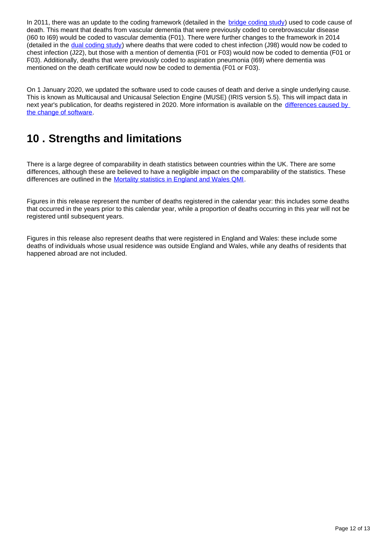In 2011, there was an update to the coding framework (detailed in the [bridge coding study](http://webarchive.nationalarchives.gov.uk/20160105160709/http:/www.ons.gov.uk/ons/rel/subnational-health3/results-of-the-icd-10-v2010-bridge-coding-study--england-and-wales--2009/2009/index.html)) used to code cause of death. This meant that deaths from vascular dementia that were previously coded to cerebrovascular disease (I60 to I69) would be coded to vascular dementia (F01). There were further changes to the framework in 2014 (detailed in the [dual coding study](http://www.ons.gov.uk/peoplepopulationandcommunity/birthsdeathsandmarriages/deaths/bulletins/impactoftheimplementationofirissoftwareforicd10causeofdeathcodingonmortalitystatisticsenglandandwales/2014-08-08)) where deaths that were coded to chest infection (J98) would now be coded to chest infection (J22), but those with a mention of dementia (F01 or F03) would now be coded to dementia (F01 or F03). Additionally, deaths that were previously coded to aspiration pneumonia (I69) where dementia was mentioned on the death certificate would now be coded to dementia (F01 or F03).

On 1 January 2020, we updated the software used to code causes of death and derive a single underlying cause. This is known as Multicausal and Unicausal Selection Engine (MUSE) (IRIS version 5.5). This will impact data in next year's publication, for deaths registered in 2020. More information is available on the [differences caused by](https://www.ons.gov.uk/peoplepopulationandcommunity/birthsdeathsandmarriages/deaths/articles/causeofdeathcodinginmortalitystatisticssoftwarechanges/january2020)  [the change of software](https://www.ons.gov.uk/peoplepopulationandcommunity/birthsdeathsandmarriages/deaths/articles/causeofdeathcodinginmortalitystatisticssoftwarechanges/january2020).

## <span id="page-11-0"></span>**10 . Strengths and limitations**

There is a large degree of comparability in death statistics between countries within the UK. There are some differences, although these are believed to have a negligible impact on the comparability of the statistics. These differences are outlined in the [Mortality statistics in England and Wales QMI.](https://www.ons.gov.uk/peoplepopulationandcommunity/birthsdeathsandmarriages/deaths/methodologies/mortalitystatisticsinenglandandwalesqmi)

Figures in this release represent the number of deaths registered in the calendar year: this includes some deaths that occurred in the years prior to this calendar year, while a proportion of deaths occurring in this year will not be registered until subsequent years.

Figures in this release also represent deaths that were registered in England and Wales: these include some deaths of individuals whose usual residence was outside England and Wales, while any deaths of residents that happened abroad are not included.